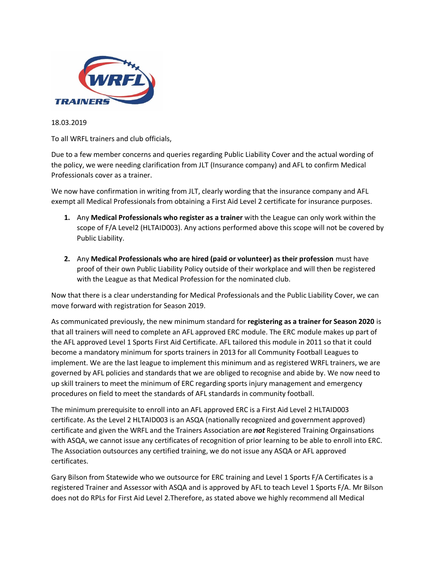

18.03.2019

To all WRFL trainers and club officials,

Due to a few member concerns and queries regarding Public Liability Cover and the actual wording of the policy, we were needing clarification from JLT (Insurance company) and AFL to confirm Medical Professionals cover as a trainer.

We now have confirmation in writing from JLT, clearly wording that the insurance company and AFL exempt all Medical Professionals from obtaining a First Aid Level 2 certificate for insurance purposes.

- **1.** Any **Medical Professionals who register as a trainer** with the League can only work within the scope of F/A Level2 (HLTAID003). Any actions performed above this scope will not be covered by Public Liability.
- **2.** Any **Medical Professionals who are hired (paid or volunteer) as their profession** must have proof of their own Public Liability Policy outside of their workplace and will then be registered with the League as that Medical Profession for the nominated club.

Now that there is a clear understanding for Medical Professionals and the Public Liability Cover, we can move forward with registration for Season 2019.

As communicated previously, the new minimum standard for **registering as a trainer for Season 2020** is that all trainers will need to complete an AFL approved ERC module. The ERC module makes up part of the AFL approved Level 1 Sports First Aid Certificate. AFL tailored this module in 2011 so that it could become a mandatory minimum for sports trainers in 2013 for all Community Football Leagues to implement. We are the last league to implement this minimum and as registered WRFL trainers, we are governed by AFL policies and standards that we are obliged to recognise and abide by. We now need to up skill trainers to meet the minimum of ERC regarding sports injury management and emergency procedures on field to meet the standards of AFL standards in community football.

The minimum prerequisite to enroll into an AFL approved ERC is a First Aid Level 2 HLTAID003 certificate. As the Level 2 HLTAID003 is an ASQA (nationally recognized and government approved) certificate and given the WRFL and the Trainers Association are *not* Registered Training Orgainsations with ASQA, we cannot issue any certificates of recognition of prior learning to be able to enroll into ERC. The Association outsources any certified training, we do not issue any ASQA or AFL approved certificates.

Gary Bilson from Statewide who we outsource for ERC training and Level 1 Sports F/A Certificates is a registered Trainer and Assessor with ASQA and is approved by AFL to teach Level 1 Sports F/A. Mr Bilson does not do RPLs for First Aid Level 2.Therefore, as stated above we highly recommend all Medical